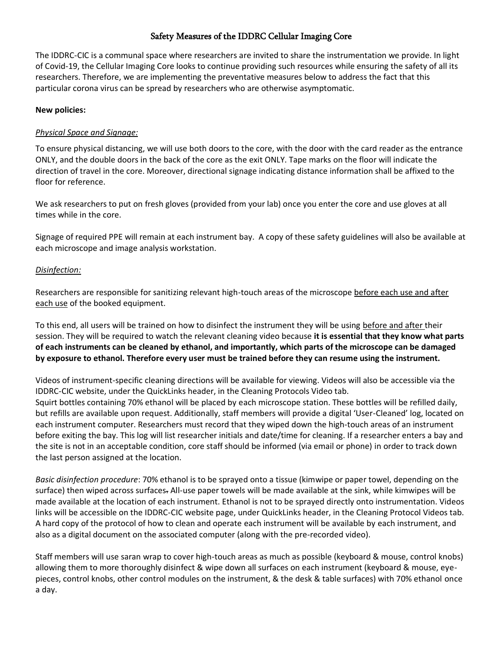# Safety Measures of the IDDRC Cellular Imaging Core

The IDDRC-CIC is a communal space where researchers are invited to share the instrumentation we provide. In light of Covid-19, the Cellular Imaging Core looks to continue providing such resources while ensuring the safety of all its researchers. Therefore, we are implementing the preventative measures below to address the fact that this particular corona virus can be spread by researchers who are otherwise asymptomatic.

#### **New policies:**

#### *Physical Space and Signage:*

To ensure physical distancing, we will use both doors to the core, with the door with the card reader as the entrance ONLY, and the double doors in the back of the core as the exit ONLY. Tape marks on the floor will indicate the direction of travel in the core. Moreover, directional signage indicating distance information shall be affixed to the floor for reference.

We ask researchers to put on fresh gloves (provided from your lab) once you enter the core and use gloves at all times while in the core.

Signage of required PPE will remain at each instrument bay. A copy of these safety guidelines will also be available at each microscope and image analysis workstation.

#### *Disinfection:*

Researchers are responsible for sanitizing relevant high-touch areas of the microscope before each use and after each use of the booked equipment.

To this end, all users will be trained on how to disinfect the instrument they will be using before and after their session. They will be required to watch the relevant cleaning video because **it is essential that they know what parts of each instruments can be cleaned by ethanol, and importantly, which parts of the microscope can be damaged by exposure to ethanol. Therefore every user must be trained before they can resume using the instrument.**

Videos of instrument-specific cleaning directions will be available for viewing. Videos will also be accessible via the IDDRC-CIC website, under the QuickLinks header, in the Cleaning Protocols Video tab. Squirt bottles containing 70% ethanol will be placed by each microscope station. These bottles will be refilled daily, but refills are available upon request. Additionally, staff members will provide a digital 'User-Cleaned' log, located on each instrument computer. Researchers must record that they wiped down the high-touch areas of an instrument before exiting the bay. This log will list researcher initials and date/time for cleaning. If a researcher enters a bay and the site is not in an acceptable condition, core staff should be informed (via email or phone) in order to track down the last person assigned at the location.

*Basic disinfection procedure*: 70% ethanol is to be sprayed onto a tissue (kimwipe or paper towel, depending on the surface) then wiped across surfaces. All-use paper towels will be made available at the sink, while kimwipes will be made available at the location of each instrument. Ethanol is not to be sprayed directly onto instrumentation. Videos links will be accessible on the IDDRC-CIC website page, under QuickLinks header, in the Cleaning Protocol Videos tab. A hard copy of the protocol of how to clean and operate each instrument will be available by each instrument, and also as a digital document on the associated computer (along with the pre-recorded video).

Staff members will use saran wrap to cover high-touch areas as much as possible (keyboard & mouse, control knobs) allowing them to more thoroughly disinfect & wipe down all surfaces on each instrument (keyboard & mouse, eyepieces, control knobs, other control modules on the instrument, & the desk & table surfaces) with 70% ethanol once a day.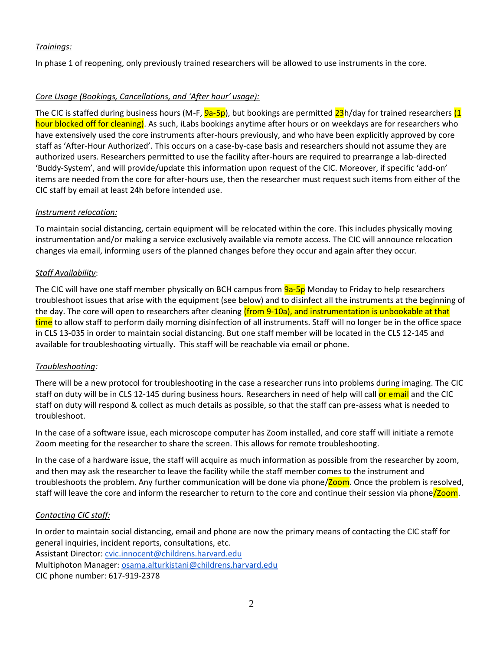## *Trainings:*

In phase 1 of reopening, only previously trained researchers will be allowed to use instruments in the core.

## *Core Usage (Bookings, Cancellations, and 'After hour' usage):*

The CIC is staffed during business hours (M-F,  $9a-5p$ ), but bookings are permitted  $23h$ /day for trained researchers (1 hour blocked off for cleaning). As such, iLabs bookings anytime after hours or on weekdays are for researchers who have extensively used the core instruments after-hours previously, and who have been explicitly approved by core staff as 'After-Hour Authorized'. This occurs on a case-by-case basis and researchers should not assume they are authorized users. Researchers permitted to use the facility after-hours are required to prearrange a lab-directed 'Buddy-System', and will provide/update this information upon request of the CIC. Moreover, if specific 'add-on' items are needed from the core for after-hours use, then the researcher must request such items from either of the CIC staff by email at least 24h before intended use.

#### *Instrument relocation:*

To maintain social distancing, certain equipment will be relocated within the core. This includes physically moving instrumentation and/or making a service exclusively available via remote access. The CIC will announce relocation changes via email, informing users of the planned changes before they occur and again after they occur.

## *Staff Availability*:

The CIC will have one staff member physically on BCH campus from  $9a-5p$  Monday to Friday to help researchers troubleshoot issues that arise with the equipment (see below) and to disinfect all the instruments at the beginning of the day. The core will open to researchers after cleaning (from 9-10a), and instrumentation is unbookable at that time to allow staff to perform daily morning disinfection of all instruments. Staff will no longer be in the office space in CLS 13-035 in order to maintain social distancing. But one staff member will be located in the CLS 12-145 and available for troubleshooting virtually. This staff will be reachable via email or phone.

#### *Troubleshooting:*

There will be a new protocol for troubleshooting in the case a researcher runs into problems during imaging. The CIC staff on duty will be in CLS 12-145 during business hours. Researchers in need of help will call or email and the CIC staff on duty will respond & collect as much details as possible, so that the staff can pre-assess what is needed to troubleshoot.

In the case of a software issue, each microscope computer has Zoom installed, and core staff will initiate a remote Zoom meeting for the researcher to share the screen. This allows for remote troubleshooting.

In the case of a hardware issue, the staff will acquire as much information as possible from the researcher by zoom, and then may ask the researcher to leave the facility while the staff member comes to the instrument and troubleshoots the problem. Any further communication will be done via phone/Zoom. Once the problem is resolved, staff will leave the core and inform the researcher to return to the core and continue their session via phone/Zoom.

#### *Contacting CIC staff:*

In order to maintain social distancing, email and phone are now the primary means of contacting the CIC staff for general inquiries, incident reports, consultations, etc. Assistant Director: [cvic.innocent@childrens.harvard.edu](mailto:cvic.innocent@childrens.harvard.edu)

Multiphoton Manager: [osama.alturkistani@childrens.harvard.edu](mailto:osama.alturkistani@childrens.harvard.edu)

CIC phone number: 617-919-2378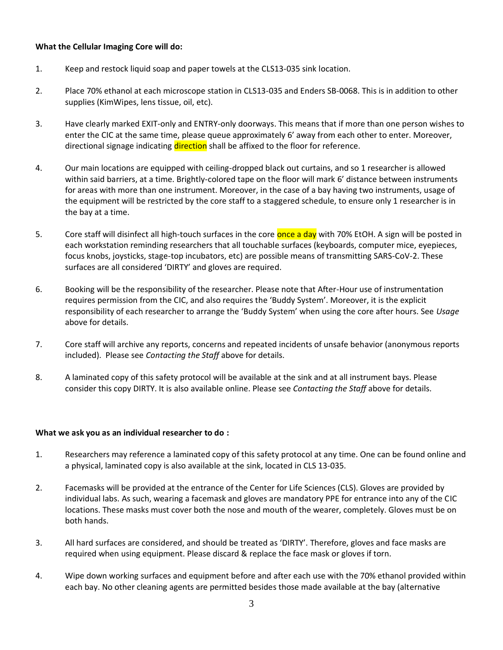#### **What the Cellular Imaging Core will do:**

- 1. Keep and restock liquid soap and paper towels at the CLS13-035 sink location.
- 2. Place 70% ethanol at each microscope station in CLS13-035 and Enders SB-0068. This is in addition to other supplies (KimWipes, lens tissue, oil, etc).
- 3. Have clearly marked EXIT-only and ENTRY-only doorways. This means that if more than one person wishes to enter the CIC at the same time, please queue approximately 6' away from each other to enter. Moreover, directional signage indicating direction shall be affixed to the floor for reference.
- 4. Our main locations are equipped with ceiling-dropped black out curtains, and so 1 researcher is allowed within said barriers, at a time. Brightly-colored tape on the floor will mark 6' distance between instruments for areas with more than one instrument. Moreover, in the case of a bay having two instruments, usage of the equipment will be restricted by the core staff to a staggered schedule, to ensure only 1 researcher is in the bay at a time.
- 5. Core staff will disinfect all high-touch surfaces in the core once a day with 70% EtOH. A sign will be posted in each workstation reminding researchers that all touchable surfaces (keyboards, computer mice, eyepieces, focus knobs, joysticks, stage-top incubators, etc) are possible means of transmitting SARS-CoV-2. These surfaces are all considered 'DIRTY' and gloves are required.
- 6. Booking will be the responsibility of the researcher. Please note that After-Hour use of instrumentation requires permission from the CIC, and also requires the 'Buddy System'. Moreover, it is the explicit responsibility of each researcher to arrange the 'Buddy System' when using the core after hours. See *Usage*  above for details.
- 7. Core staff will archive any reports, concerns and repeated incidents of unsafe behavior (anonymous reports included). Please see *Contacting the Staff* above for details.
- 8. A laminated copy of this safety protocol will be available at the sink and at all instrument bays. Please consider this copy DIRTY. It is also available online. Please see *Contacting the Staff* above for details.

#### **What we ask you as an individual researcher to do :**

- 1. Researchers may reference a laminated copy of this safety protocol at any time. One can be found online and a physical, laminated copy is also available at the sink, located in CLS 13-035.
- 2. Facemasks will be provided at the entrance of the Center for Life Sciences (CLS). Gloves are provided by individual labs. As such, wearing a facemask and gloves are mandatory PPE for entrance into any of the CIC locations. These masks must cover both the nose and mouth of the wearer, completely. Gloves must be on both hands.
- 3. All hard surfaces are considered, and should be treated as 'DIRTY'. Therefore, gloves and face masks are required when using equipment. Please discard & replace the face mask or gloves if torn.
- 4. Wipe down working surfaces and equipment before and after each use with the 70% ethanol provided within each bay. No other cleaning agents are permitted besides those made available at the bay (alternative